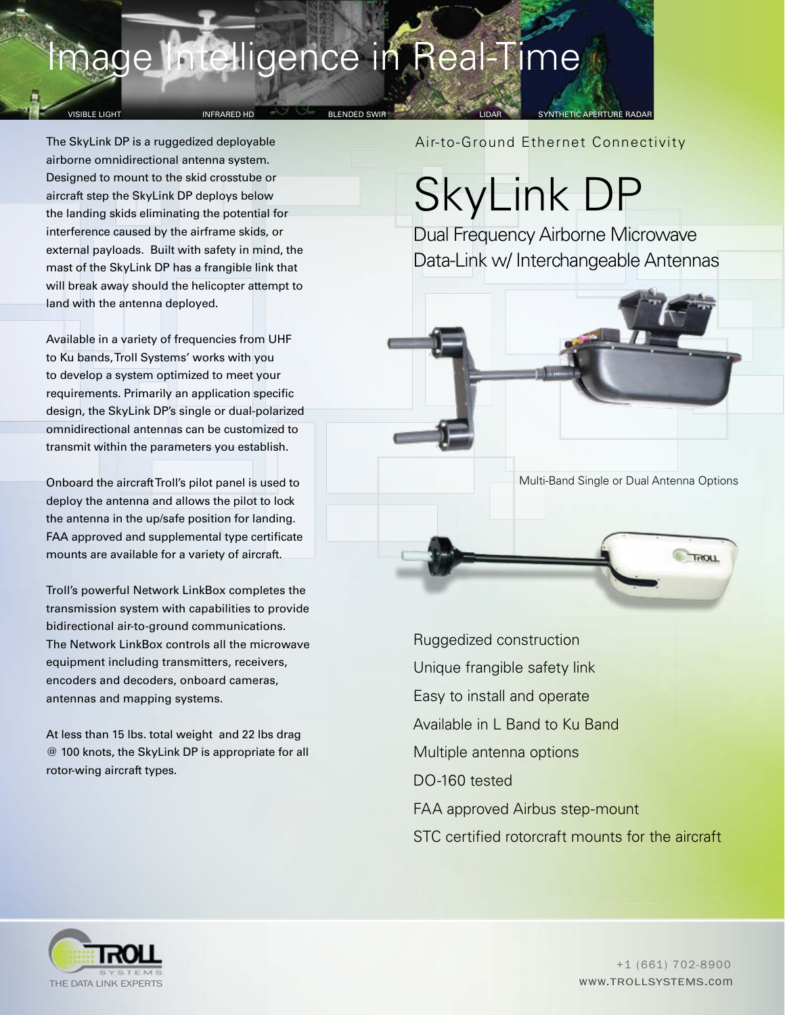## mage Intelligence in Real-Time

### VISIBLE LIGHT NORTH INFRARED HD BELENDED SWIR DE SYNTHETIC APERTURE RADAR

The SkyLink DP is a ruggedized deployable airborne omnidirectional antenna system. Designed to mount to the skid crosstube or aircraft step the SkyLink DP deploys below the landing skids eliminating the potential for interference caused by the airframe skids, or external payloads. Built with safety in mind, the mast of the SkyLink DP has a frangible link that will break away should the helicopter attempt to land with the antenna deployed.

Available in a variety of frequencies from UHF to Ku bands, Troll Systems' works with you to develop a system optimized to meet your requirements. Primarily an application specific design, the SkyLink DP's single or dual-polarized omnidirectional antennas can be customized to transmit within the parameters you establish.

Onboard the aircraft Troll's pilot panel is used to deploy the antenna and allows the pilot to lock the antenna in the up/safe position for landing. FAA approved and supplemental type certificate mounts are available for a variety of aircraft.

Troll's powerful Network LinkBox completes the transmission system with capabilities to provide bidirectional air-to-ground communications. The Network LinkBox controls all the microwave equipment including transmitters, receivers, encoders and decoders, onboard cameras, antennas and mapping systems.

At less than 15 lbs. total weight and 22 lbs drag @ 100 knots, the SkyLink DP is appropriate for all rotor-wing aircraft types.

Air-to-Ground Ethernet Connectivity

# SkyLink DP

Dual Frequency Airborne Microwave Data-Link w/ Interchangeable Antennas



Ruggedized construction Unique frangible safety link Easy to install and operate Available in L Band to Ku Band Multiple antenna options DO-160 tested FAA approved Airbus step-mount STC certified rotorcraft mounts for the aircraft



www.TROLLSYSTEMS.com +1 (661) 702-8900

**TROLL**